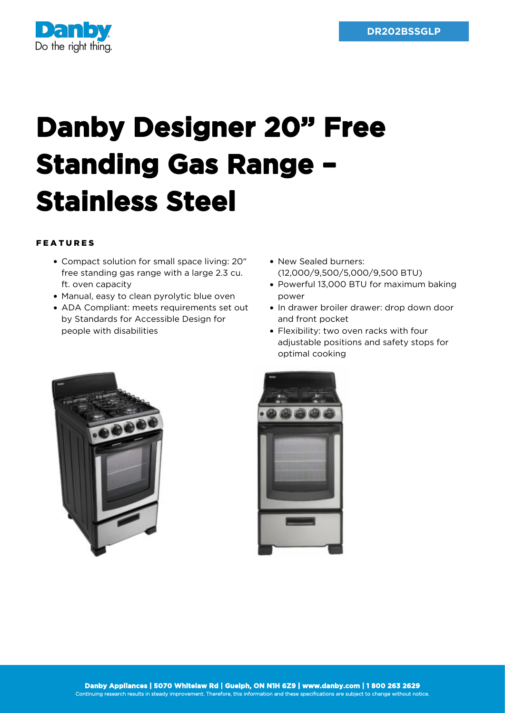

## **Danby Designer 20" Free Standing Gas Range – Stainless Steel**

## FEATURES

- Compact solution for small space living: 20" free standing gas range with a large 2.3 cu. ft. oven capacity
- Manual, easy to clean pyrolytic blue oven
- ADA Compliant: meets requirements set out by Standards for Accessible Design for people with disabilities
- New Sealed burners: (12,000/9,500/5,000/9,500 BTU)
- Powerful 13,000 BTU for maximum baking power
- In drawer broiler drawer: drop down door and front pocket
- Flexibility: two oven racks with four adjustable positions and safety stops for optimal cooking